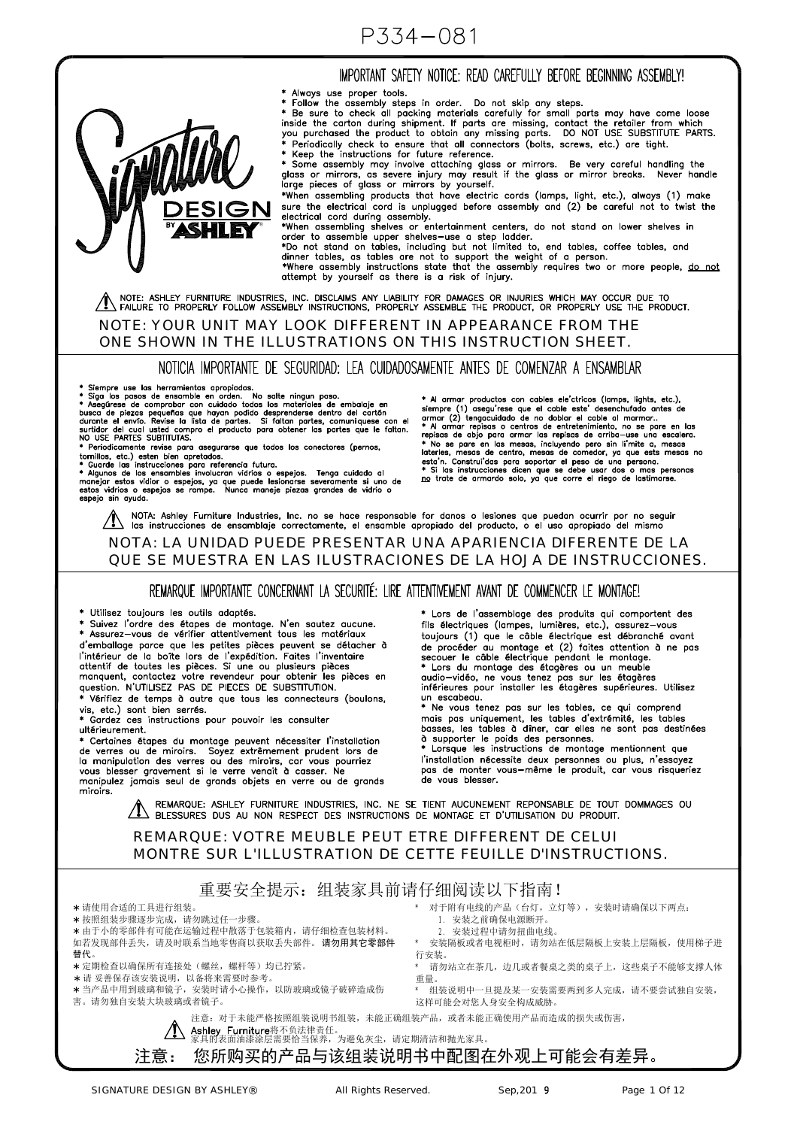## IMPORTANT SAFETY NOTICE: READ CAREFULLY BEFORE BEGINNING ASSEMBLY!



\* Always use proper tools.<br>\* Follow the assembly steps in order. Do not skip any steps.<br>\* Be sure to check all packing materials carefully for small parts may have come loose<br>inside the carton during shipment. If parts are

\* Keep the instructions for future reference.

Response to the mission of the state of the state of the state of the state of the state of the state of glass or mirrors. Be very careful handling the glass or mirrors, as severe injury may result if the glass or mirror b

\*When assembling products that have electric cords (lamps, light, etc.), always (1) make sure the electrical cord is unplugged before assembly and (2) be careful not to twist the

sure the electrical cord is unplugged before assembly and (2) be careful not to twist the<br>electrical cord diring assembly.<br>
\*When assembling shelves or entertainment centers, do not stand on lower shelves in<br>
order to asse

attempt by yourself as there is a risk of injury.

 $\bigwedge$  note: ashley furniture industries, inc. disclaims any liability for damages or injuries which may occur due to  $\blacksquare$ 

#### NOTE: YOUR UNIT MAY LOOK DIFFERENT IN APPEARANCE FROM THE ONE SHOWN IN THE ILLUSTRATIONS ON THIS INSTRUCTION SHEET.

NOTICIA IMPORTANTE DE SEGURIDAD: LEA CUIDADOSAMENTE ANTES DE COMENZAR A ENSAMBLAR

®

\* Siempre use las herramientas apropiadas.<br>\* Siga los pasos de ensamble en orden. No salte ningun paso.<br>\* Asegúrese de comprobar con cuidado todos los materiales de embalaje en \* Asegúrese de comprobar ou cuidado desprende Periodicamente revise para asegurarse que todos los conectores (pernos,

Fermion de los esten bien apretados.<br>
\* Guarde las instrucciones para referencia futura.<br>
\* Algunos de los ensambles involucran vidríos o espejos. Tenga cuidado al<br>
\* Algunos de los ensambles involucran vidríos o espejos p espeio sin avuda.

Al armar productos con cables ele'ctricos (lamps, lights, etc.), A difference (1) asegurese que el cable este desenchingula encicio de armar (2) tengocidado de no doblar el cable este desenchingula antes de armar (2) tengocidado de no doblar el cable al marmar...<br>
\* Al armar repisas o c repisas de abjo para armar las repisas de arriba-use una escalera.<br>\* No se pare en las mesas, incluyedo pero sin l'imite a, mesas ho<br>daterles, mesas de centro, mesas de comedor, ya que ests mesas no<br>\* Si las instrucciones

NOTA: Ashley Furniture Industries, Inc. no se hace responsable for danos o lesiones que puedan ocurrir por no seguir<br>Ias instrucciones de ensamblaje correctamente, el ensamble apropiado del producto, o el uso apropiado del

## NOTA: LA UNIDAD PUEDE PRESENTAR UNA APARIENCIA DIFERENTE DE LA QUE SE MUESTRA EN LAS ILUSTRACIONES DE LA HOJA DE INSTRUCCIONES.

### REMARQUE IMPORTANTE CONCERNANT LA SECURITÉ: LIRE ATTENTIVEMENT AVANT DE COMMENCER LE MONTAGE!

\* Utilisez toujours les outils adaptés.

sumour coupons no came acquitor.<br>\* Suivez l'ordre des étapes de montage. N'en sautez aucune.<br>\* Assurez—vous de vérifier attentivement tous les matériaux d'emballage parce que les petites pièces peuvent se détacher à d'emballage parce que les petites pièces peuvent se détacher à<br>l'intérieur de la boîte lors de l'expédition. Faites l'inventaire<br>attentif de toutes les pièces. Si une ou plusieurs pièces<br>manquent, contactez votre revendeur question. N'UTILISEZ PAS DE PIECES DE SUBSTITUTION. Vérifiez de temps à autre que tous les connecteurs (boulons,

vision and the company vision of the series.<br>
\* Cardez ces instructions

Gardez ces instructions pour pouvoir les consulter ultérieurement.

\* Certaines étapes du montage peuvent nécessiter l'installation de verres ou de miroirs. Soyez extrêmement prudent lors de<br>la manipulation des verres ou des miroirs, car vous pourriez<br>vous blesser gravement si le verre venait à casser. Ne manipulez jamais seul de grands objets en verre ou de grands miroirs.

\* Lors de l'assemblage des produits qui comportent des fils électriques (lampes, lumières, etc.), assurez-vous toujours (1) que le câble électrique est débranché avant de procéder au montage et (2) faites attention à ne pas de proceder du montage et  $(z)$  rates attention à ne pas<br>secour le câble électrique pendant le montage.<br>\* Lors du montage des étagères ou un meuble<br>audio-vidéo, ne vous tenez pas sur les étagères<br>inférieures pour installer un escabeau. Ne vous tenez pas sur les tables, ce qui comprend

mais pas uniquement, les tables d'extrémité, les tables basses, les tables à diner, car elles ne sont pas destinées<br>à supporter le poids des personnes.<br>\* Lorsque les instructions de montage mentionnent que l'installation nécessite deux personnes ou plus, n'essayez

pas de monter vous-même le produit, car vous risqueriez de vous blesser.

REMARQUE: ASHLEY FURNITURE INDUSTRIES, INC. NE SE TIENT AUCUNEMENT REPONSABLE DE TOUT DOMMAGES OU AL REMARQUE: ASHLET FURNITURE INDUSTRIES, INC. NE SE TIENT AUCUNEMENT REPUNSABLE DE TOUT

## REMARQUE: VOTRE MEUBLE PEUT ETRE DIFFERENT DE CELUI MONTRE SUR L'ILLUSTRATION DE CETTE FEUILLE D'INSTRUCTIONS.

## 重要安全提示:组装家具前请仔细阅读以下指南!

请使用合适的工具进行组装。

- 按照组装步骤逐步完成,请勿跳过任一步骤。
- 由于小的零部件有可能在运输过程中散落于包装箱内,请仔细检查包装材料。

如若发现部件丢失,请及时联系当地零售商以获取丢失部件。 请勿用其它零部件 替代。

- 定期检查以确保所有连接处(螺丝,螺杆等)均已拧紧。
- \* 请 妥善保存该安装说明, 以备将来需要时参考。

 当产品中用到玻璃和镜子,安装时请小心操作,以防玻璃或镜子破碎造成伤 害。请勿独自安装大块玻璃或者镜子。

- 1. 安装之前确保电源断开。
- 2. 安装过程中请勿扭曲电线。
- \* 安装隔板或者电视柜时,请勿站在低层隔板上安装上层隔板,使用梯子进 行安装。
- \* 请勿站立在茶几,边几或者餐桌之类的桌子上,这些桌子不能够支撑人体 重量。
- \* 组装说明中一旦提及某一安装需要两到多人完成,请不要尝试独自安装, 这样可能会对您人身安全构成威胁。
- 注意:对于未能严格按照组装说明书组装,未能正确组装产品,或者未能正确使用产品而造成的损失或伤害,

**Ashley Furniture**将不负法律责任。<br>家具的表面油漆涂层需要恰当保养,为避免灰尘,请定期清洁和抛光家具。

# 注意: 您所购买的产品与该组装说明书中配图在外观上可能会有差异。

\* 对于附有电线的产品(台灯,立灯等),安装时请确保以下两点: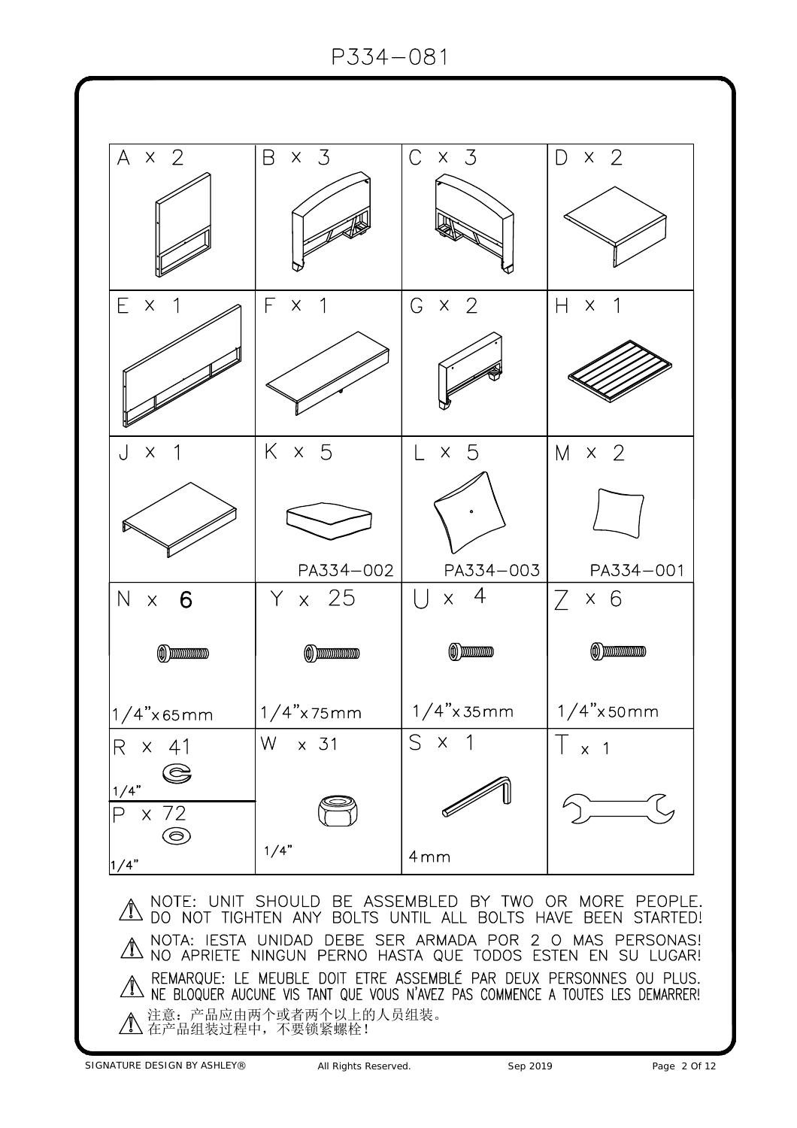

SIGNATURE DESIGN BY ASHLEY® All Rights Reserved. Sep 2019 Sep 2019 Page 2 Of 12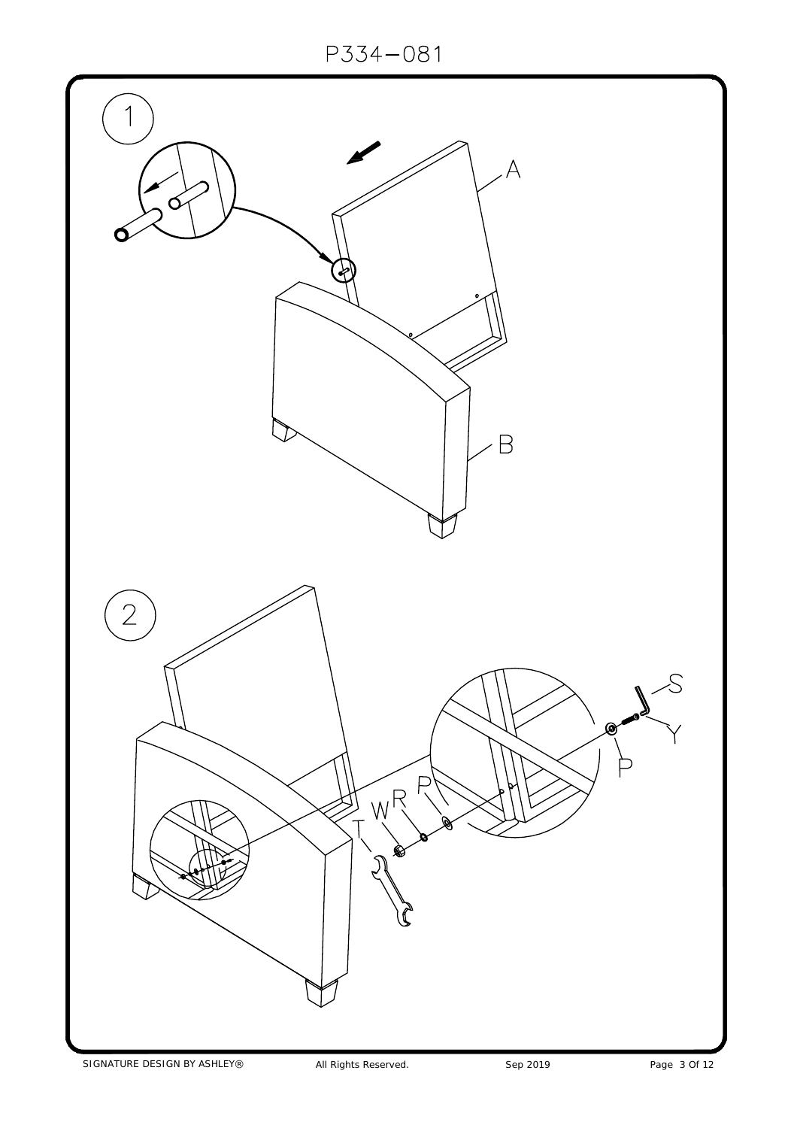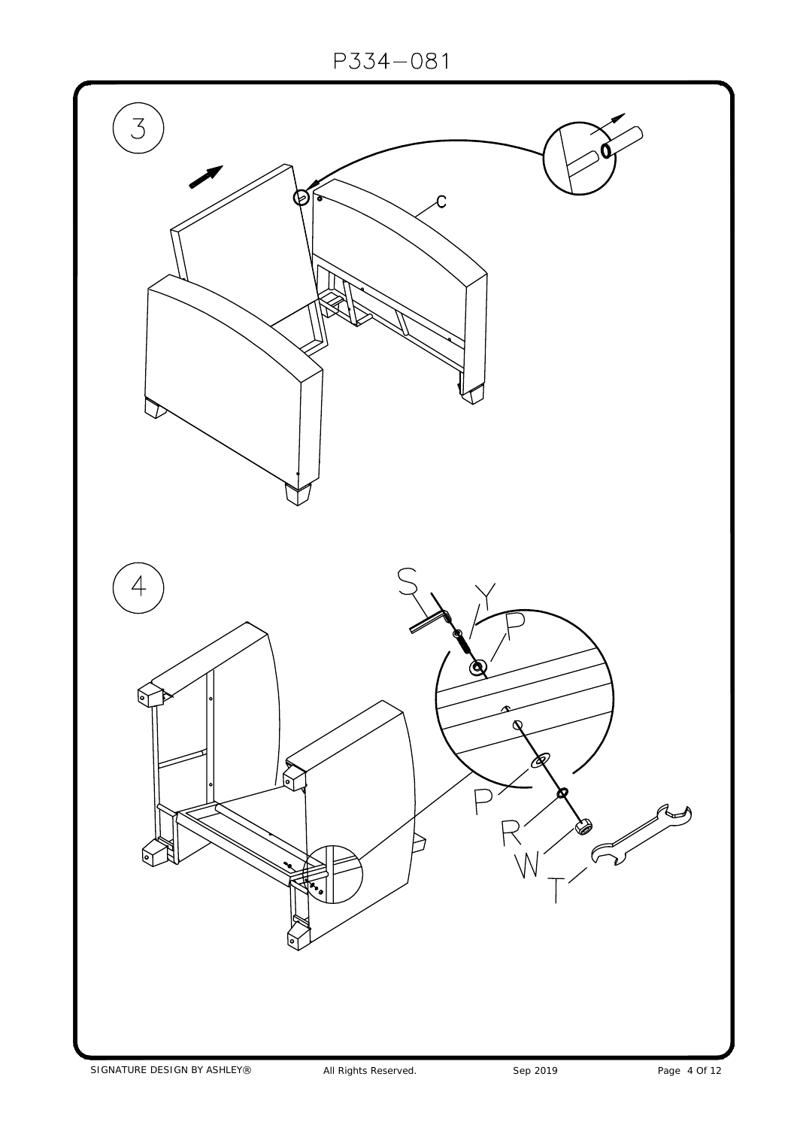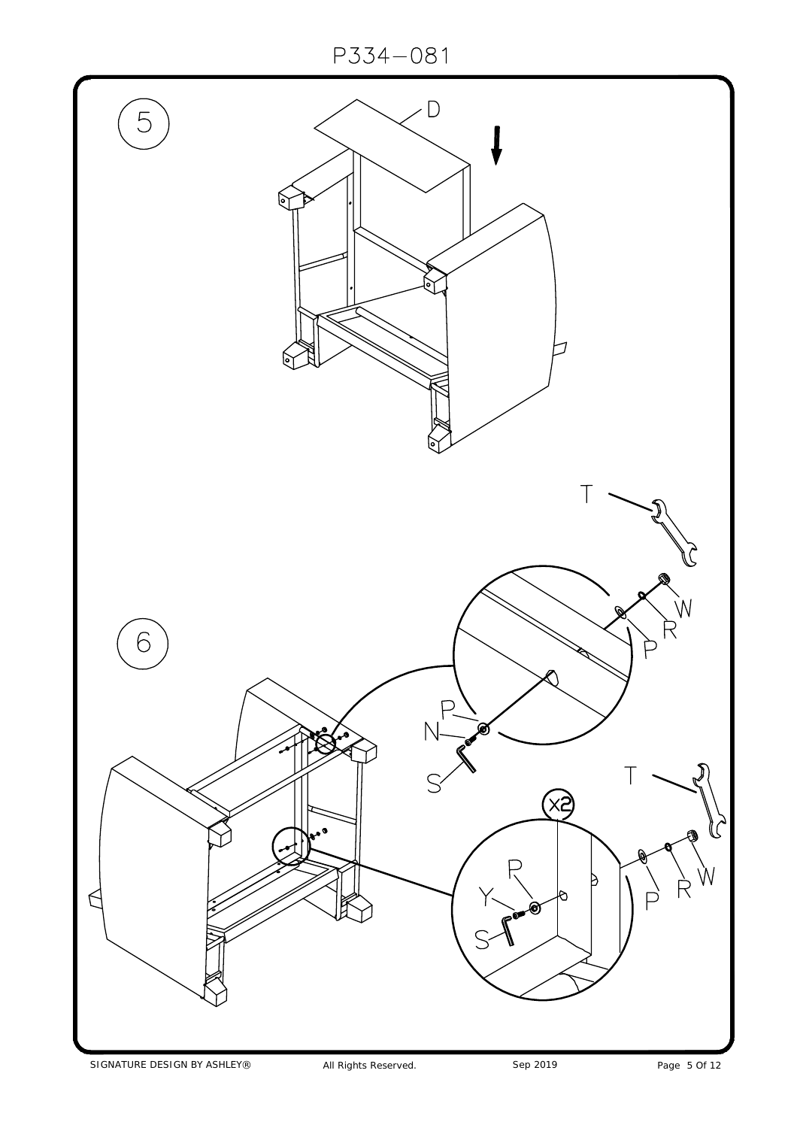

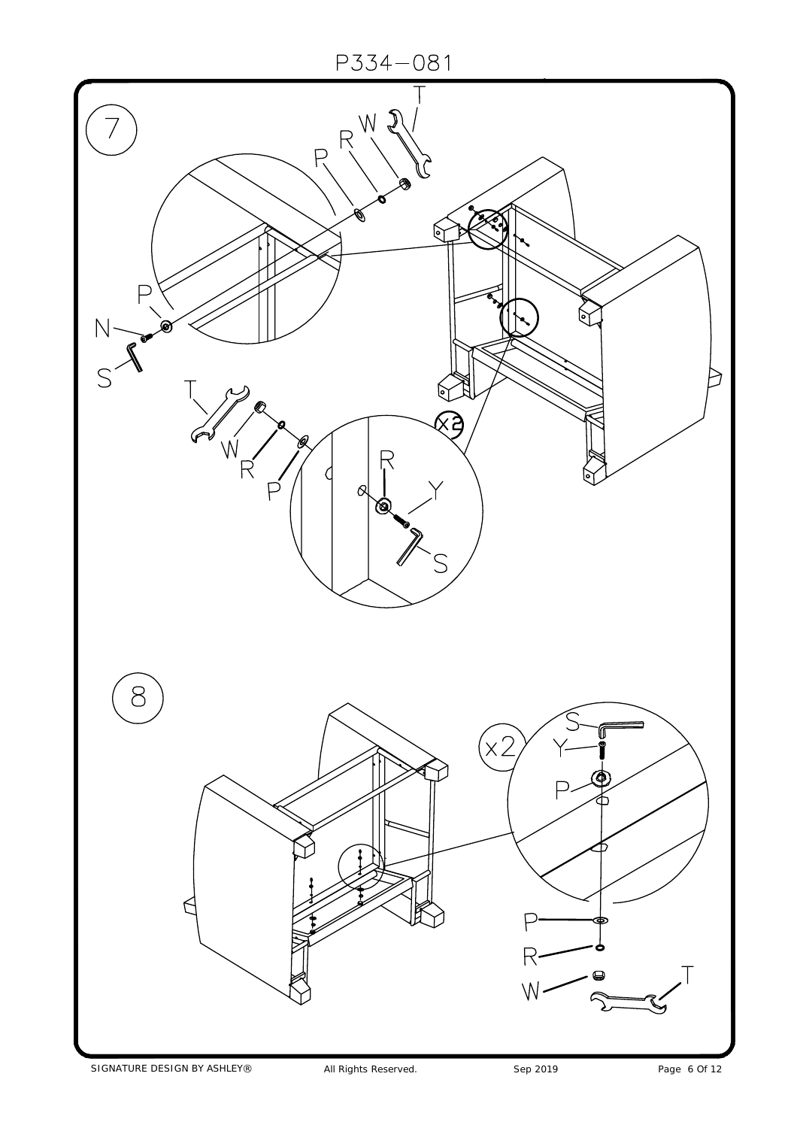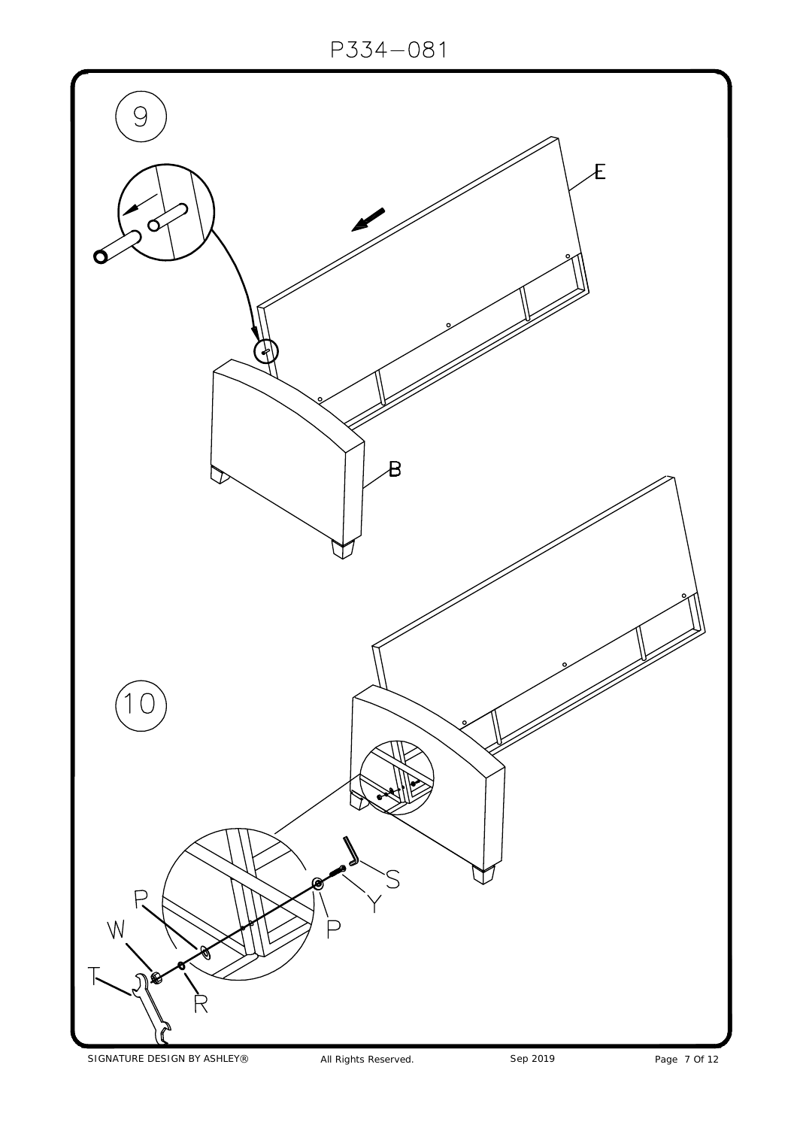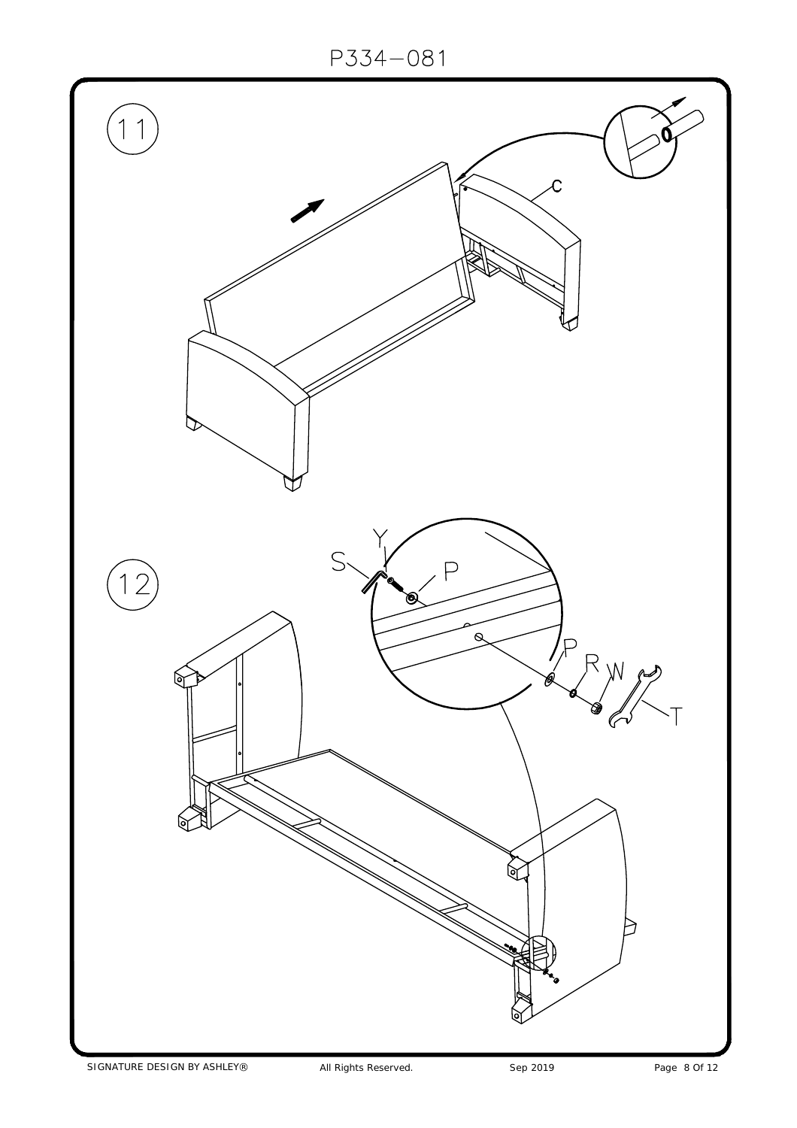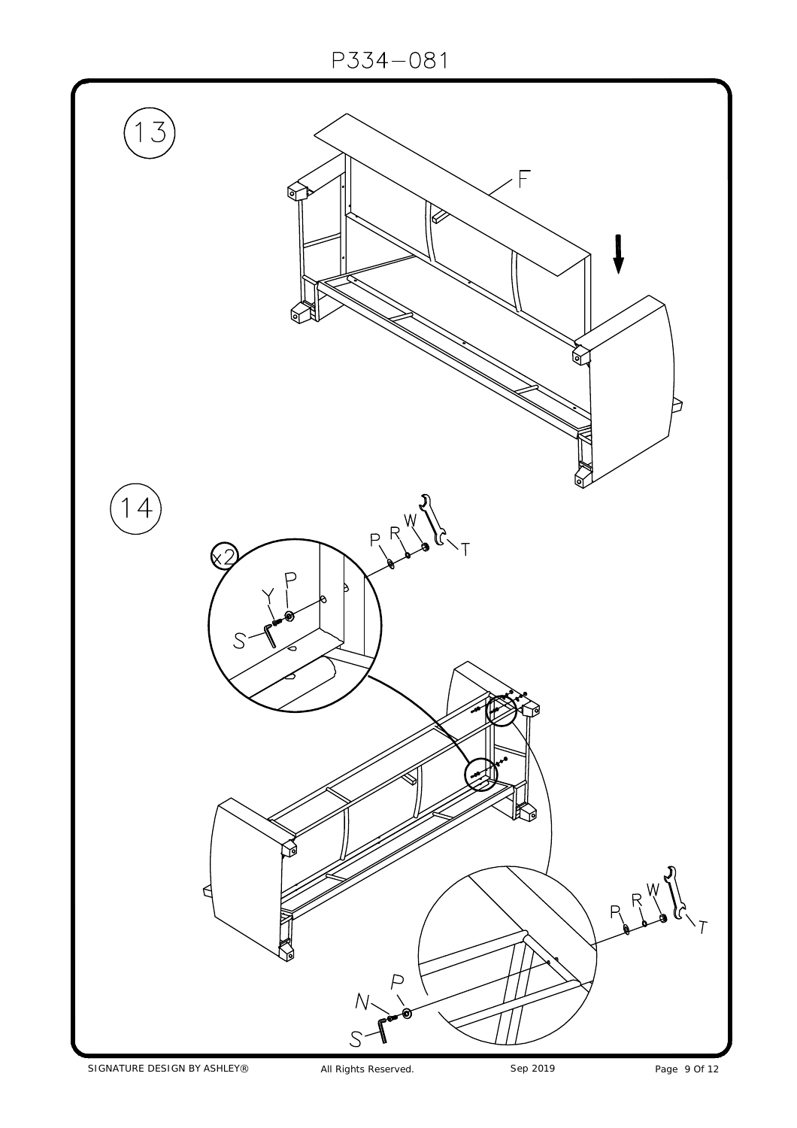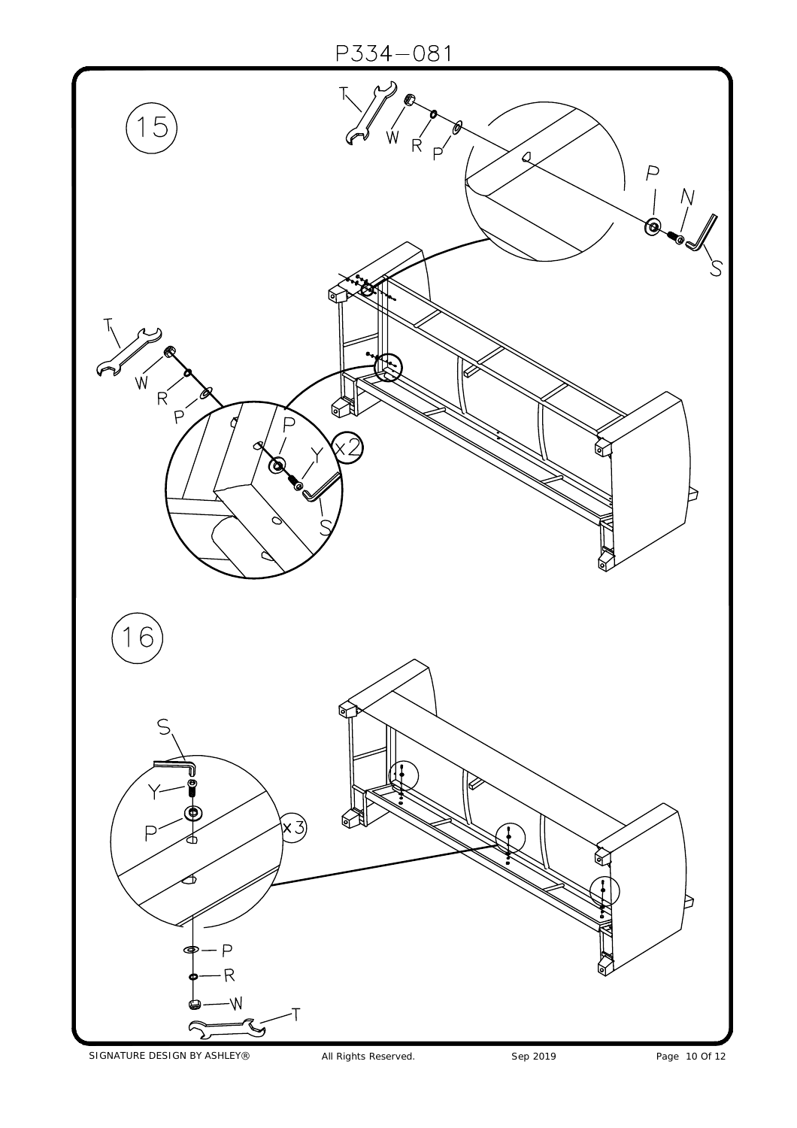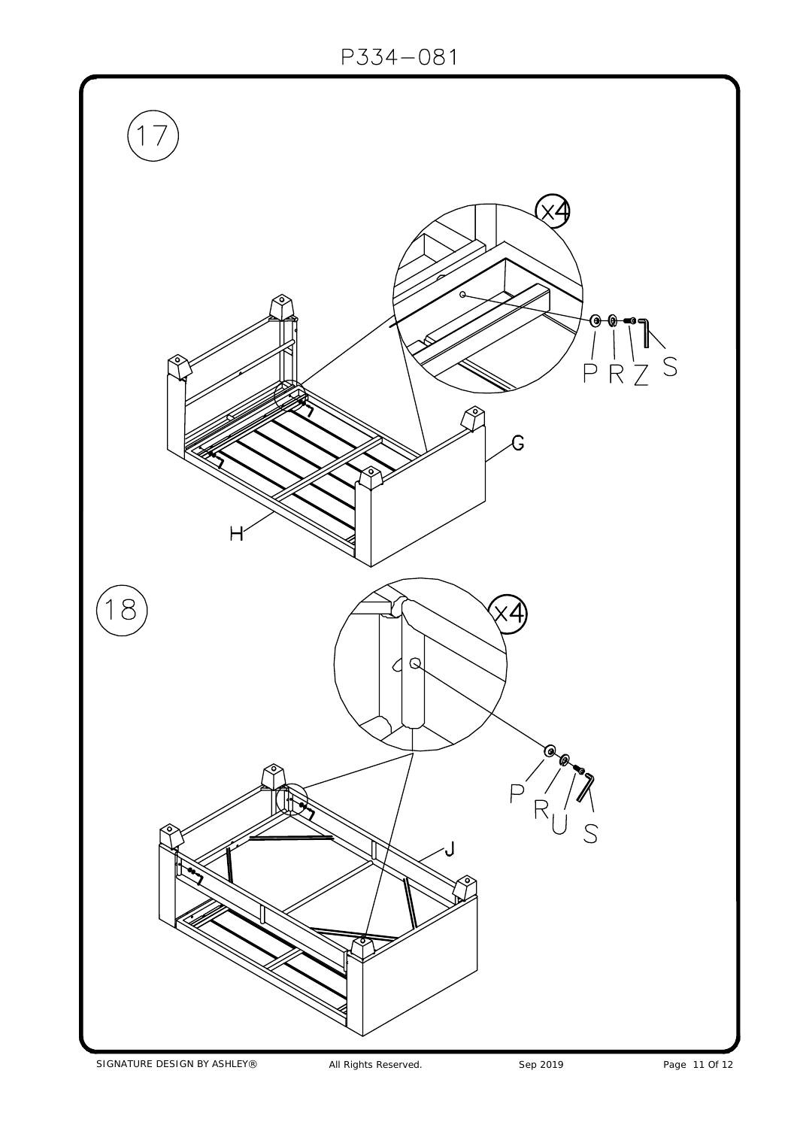